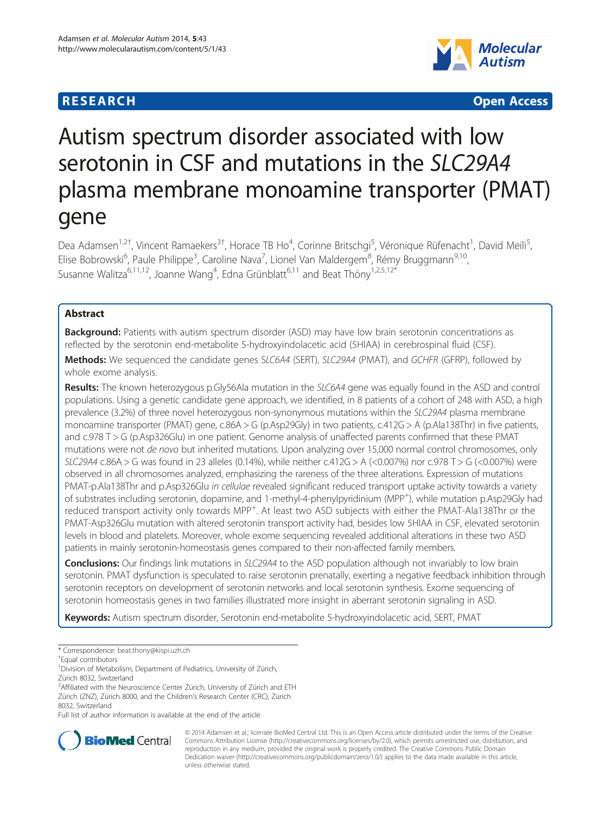## **RESEARCH CHE CHE Open Access**



# Autism spectrum disorder associated with low serotonin in CSF and mutations in the SLC29A4 plasma membrane monoamine transporter (PMAT) gene

Dea Adamsen<sup>1,2†</sup>, Vincent Ramaekers<sup>3†</sup>, Horace TB Ho<sup>4</sup>, Corinne Britschgi<sup>5</sup>, Véronique Rüfenacht<sup>1</sup>, David Meili<sup>5</sup> , Elise Bobrowski<sup>6</sup>, Paule Philippe<sup>3</sup>, Caroline Nava<sup>7</sup>, Lionel Van Maldergem<sup>8</sup>, Rémy Bruggmann<sup>9,10</sup>, Susanne Walitza<sup>6,11,12</sup>, Joanne Wang<sup>4</sup>, Edna Grünblatt<sup>6,11</sup> and Beat Thöny<sup>1,2,5,12\*</sup>

## Abstract

Background: Patients with autism spectrum disorder (ASD) may have low brain serotonin concentrations as reflected by the serotonin end-metabolite 5-hydroxyindolacetic acid (5HIAA) in cerebrospinal fluid (CSF).

Methods: We sequenced the candidate genes SLC6A4 (SERT), SLC29A4 (PMAT), and GCHFR (GFRP), followed by whole exome analysis.

Results: The known heterozygous p.Gly56Ala mutation in the SLC6A4 gene was equally found in the ASD and control populations. Using a genetic candidate gene approach, we identified, in 8 patients of a cohort of 248 with ASD, a high prevalence (3.2%) of three novel heterozygous non-synonymous mutations within the SLC29A4 plasma membrane monoamine transporter (PMAT) gene, c.86A > G (p.Asp29Gly) in two patients, c.412G > A (p.Ala138Thr) in five patients, and c.978 T > G (p.Asp326Glu) in one patient. Genome analysis of unaffected parents confirmed that these PMAT mutations were not de novo but inherited mutations. Upon analyzing over 15,000 normal control chromosomes, only SLC29A4 c.86A > G was found in 23 alleles (0.14%), while neither c.412G > A (<0.007%) nor c.978 T > G (<0.007%) were observed in all chromosomes analyzed, emphasizing the rareness of the three alterations. Expression of mutations PMAT-p.Ala138Thr and p.Asp326Glu in cellulae revealed significant reduced transport uptake activity towards a variety of substrates including serotonin, dopamine, and 1-methyl-4-phenylpyridinium (MPP<sup>+</sup>), while mutation p.Asp29Gly had reduced transport activity only towards MPP<sup>+</sup>. At least two ASD subjects with either the PMAT-Ala138Thr or the PMAT-Asp326Glu mutation with altered serotonin transport activity had, besides low 5HIAA in CSF, elevated serotonin levels in blood and platelets. Moreover, whole exome sequencing revealed additional alterations in these two ASD patients in mainly serotonin-homeostasis genes compared to their non-affected family members.

**Conclusions:** Our findings link mutations in SLC29A4 to the ASD population although not invariably to low brain serotonin. PMAT dysfunction is speculated to raise serotonin prenatally, exerting a negative feedback inhibition through serotonin receptors on development of serotonin networks and local serotonin synthesis. Exome sequencing of serotonin homeostasis genes in two families illustrated more insight in aberrant serotonin signaling in ASD.

Keywords: Autism spectrum disorder, Serotonin end-metabolite 5-hydroxyindolacetic acid, SERT, PMAT

<sup>2</sup> Affiliated with the Neuroscience Center Zürich, University of Zürich and ETH Zürich (ZNZ), Zürich 8000, and the Children's Research Center (CRC), Zürich 8032, Switzerland

Full list of author information is available at the end of the article



© 2014 Adamsen et al.; licensee BioMed Central Ltd. This is an Open Access article distributed under the terms of the Creative Commons Attribution License [\(http://creativecommons.org/licenses/by/2.0\)](http://creativecommons.org/licenses/by/2.0), which permits unrestricted use, distribution, and reproduction in any medium, provided the original work is properly credited. The Creative Commons Public Domain Dedication waiver [\(http://creativecommons.org/publicdomain/zero/1.0/](http://creativecommons.org/publicdomain/zero/1.0/)) applies to the data made available in this article, unless otherwise stated.

<sup>\*</sup> Correspondence: [beat.thony@kispi.uzh.ch](mailto:beat.thony@kispi.uzh.ch) †

Equal contributors

<sup>&</sup>lt;sup>1</sup> Division of Metabolism, Department of Pediatrics, University of Zürich,

Zürich 8032, Switzerland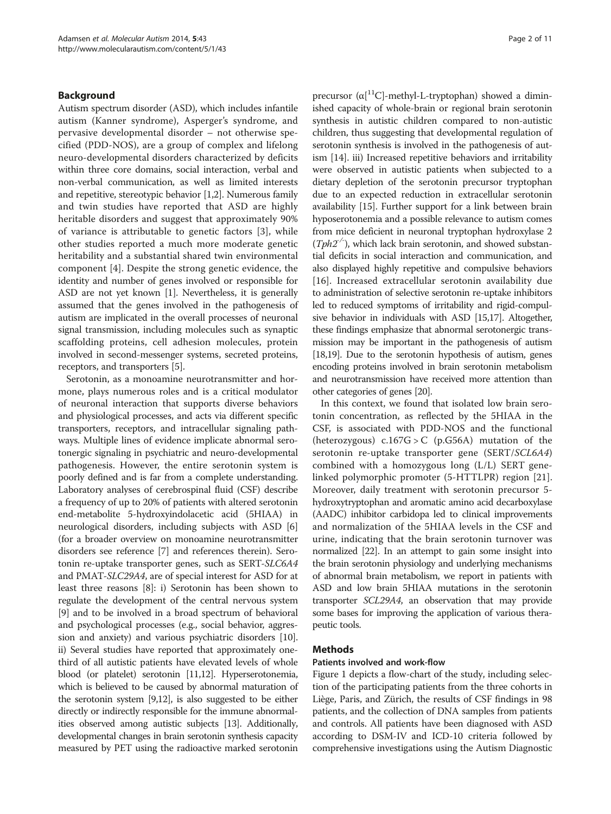#### Background

Autism spectrum disorder (ASD), which includes infantile autism (Kanner syndrome), Asperger's syndrome, and pervasive developmental disorder – not otherwise specified (PDD-NOS), are a group of complex and lifelong neuro-developmental disorders characterized by deficits within three core domains, social interaction, verbal and non-verbal communication, as well as limited interests and repetitive, stereotypic behavior [[1,2](#page-9-0)]. Numerous family and twin studies have reported that ASD are highly heritable disorders and suggest that approximately 90% of variance is attributable to genetic factors [[3\]](#page-9-0), while other studies reported a much more moderate genetic heritability and a substantial shared twin environmental component [\[4](#page-9-0)]. Despite the strong genetic evidence, the identity and number of genes involved or responsible for ASD are not yet known [[1](#page-9-0)]. Nevertheless, it is generally assumed that the genes involved in the pathogenesis of autism are implicated in the overall processes of neuronal signal transmission, including molecules such as synaptic scaffolding proteins, cell adhesion molecules, protein involved in second-messenger systems, secreted proteins, receptors, and transporters [\[5](#page-9-0)].

Serotonin, as a monoamine neurotransmitter and hormone, plays numerous roles and is a critical modulator of neuronal interaction that supports diverse behaviors and physiological processes, and acts via different specific transporters, receptors, and intracellular signaling pathways. Multiple lines of evidence implicate abnormal serotonergic signaling in psychiatric and neuro-developmental pathogenesis. However, the entire serotonin system is poorly defined and is far from a complete understanding. Laboratory analyses of cerebrospinal fluid (CSF) describe a frequency of up to 20% of patients with altered serotonin end-metabolite 5-hydroxyindolacetic acid (5HIAA) in neurological disorders, including subjects with ASD [[6](#page-9-0)] (for a broader overview on monoamine neurotransmitter disorders see reference [\[7\]](#page-9-0) and references therein). Serotonin re-uptake transporter genes, such as SERT-SLC6A4 and PMAT-SLC29A4, are of special interest for ASD for at least three reasons [\[8\]](#page-9-0): i) Serotonin has been shown to regulate the development of the central nervous system [[9\]](#page-9-0) and to be involved in a broad spectrum of behavioral and psychological processes (e.g., social behavior, aggression and anxiety) and various psychiatric disorders [[10](#page-9-0)]. ii) Several studies have reported that approximately onethird of all autistic patients have elevated levels of whole blood (or platelet) serotonin [\[11,12](#page-9-0)]. Hyperserotonemia, which is believed to be caused by abnormal maturation of the serotonin system [\[9,12](#page-9-0)], is also suggested to be either directly or indirectly responsible for the immune abnormalities observed among autistic subjects [\[13\]](#page-9-0). Additionally, developmental changes in brain serotonin synthesis capacity measured by PET using the radioactive marked serotonin

precursor  $(\alpha[^{11}C]$ -methyl-L-tryptophan) showed a diminished capacity of whole-brain or regional brain serotonin synthesis in autistic children compared to non-autistic children, thus suggesting that developmental regulation of serotonin synthesis is involved in the pathogenesis of autism [\[14](#page-9-0)]. iii) Increased repetitive behaviors and irritability were observed in autistic patients when subjected to a dietary depletion of the serotonin precursor tryptophan due to an expected reduction in extracellular serotonin availability [\[15\]](#page-9-0). Further support for a link between brain hyposerotonemia and a possible relevance to autism comes from mice deficient in neuronal tryptophan hydroxylase 2  $(Tph2^{-})$ , which lack brain serotonin, and showed substantial deficits in social interaction and communication, and also displayed highly repetitive and compulsive behaviors [[16\]](#page-9-0). Increased extracellular serotonin availability due to administration of selective serotonin re-uptake inhibitors led to reduced symptoms of irritability and rigid-compulsive behavior in individuals with ASD [[15,17\]](#page-9-0). Altogether, these findings emphasize that abnormal serotonergic transmission may be important in the pathogenesis of autism [[18](#page-9-0)[,19\]](#page-10-0). Due to the serotonin hypothesis of autism, genes encoding proteins involved in brain serotonin metabolism and neurotransmission have received more attention than other categories of genes [\[20\]](#page-10-0).

In this context, we found that isolated low brain serotonin concentration, as reflected by the 5HIAA in the CSF, is associated with PDD-NOS and the functional (heterozygous)  $c.167G > C$  (p.G56A) mutation of the serotonin re-uptake transporter gene (SERT/SCL6A4) combined with a homozygous long (L/L) SERT genelinked polymorphic promoter (5-HTTLPR) region [\[21](#page-10-0)]. Moreover, daily treatment with serotonin precursor 5 hydroxytryptophan and aromatic amino acid decarboxylase (AADC) inhibitor carbidopa led to clinical improvements and normalization of the 5HIAA levels in the CSF and urine, indicating that the brain serotonin turnover was normalized [[22](#page-10-0)]. In an attempt to gain some insight into the brain serotonin physiology and underlying mechanisms of abnormal brain metabolism, we report in patients with ASD and low brain 5HIAA mutations in the serotonin transporter SCL29A4, an observation that may provide some bases for improving the application of various therapeutic tools.

#### Methods

#### Patients involved and work-flow

Figure [1](#page-2-0) depicts a flow-chart of the study, including selection of the participating patients from the three cohorts in Liège, Paris, and Zürich, the results of CSF findings in 98 patients, and the collection of DNA samples from patients and controls. All patients have been diagnosed with ASD according to DSM-IV and ICD-10 criteria followed by comprehensive investigations using the Autism Diagnostic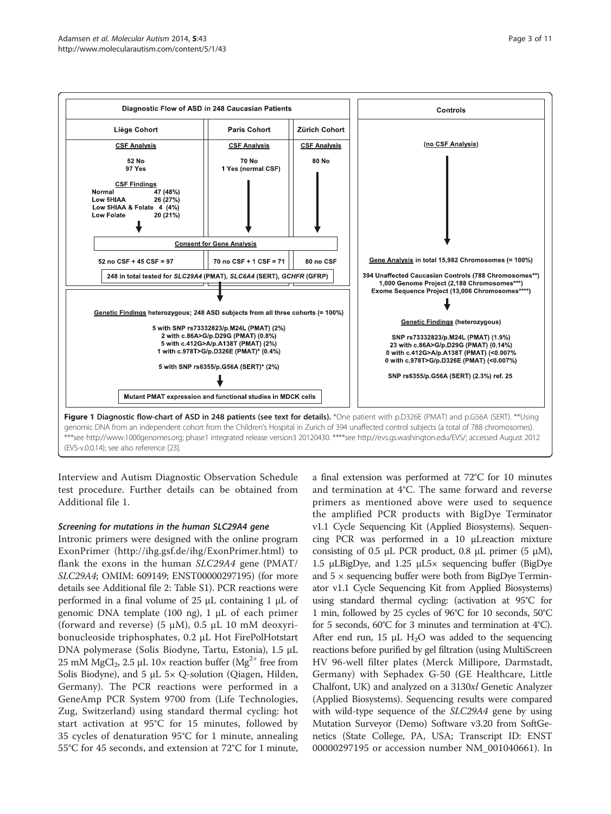<span id="page-2-0"></span>

Interview and Autism Diagnostic Observation Schedule test procedure. Further details can be obtained from Additional file [1](#page-9-0).

## Screening for mutations in the human SLC29A4 gene

Intronic primers were designed with the online program ExonPrimer (<http://ihg.gsf.de/ihg/ExonPrimer.html>) to flank the exons in the human SLC29A4 gene (PMAT/ SLC29A4; OMIM: 609149; ENST00000297195) (for more details see Additional file [2:](#page-9-0) Table S1). PCR reactions were performed in a final volume of 25 μL containing 1 μL of genomic DNA template (100 ng), 1 μL of each primer (forward and reverse) (5  $\mu$ M), 0.5  $\mu$ L 10 mM deoxyribonucleoside triphosphates, 0.2 μL Hot FirePolHotstart DNA polymerase (Solis Biodyne, Tartu, Estonia), 1.5 μL 25 mM MgCl<sub>2</sub>, 2.5 μL 10× reaction buffer (Mg<sup>2+</sup> free from Solis Biodyne), and 5  $\mu$ L 5× Q-solution (Qiagen, Hilden, Germany). The PCR reactions were performed in a GeneAmp PCR System 9700 from (Life Technologies, Zug, Switzerland) using standard thermal cycling: hot start activation at 95°C for 15 minutes, followed by 35 cycles of denaturation 95°C for 1 minute, annealing 55°C for 45 seconds, and extension at 72°C for 1 minute,

a final extension was performed at 72°C for 10 minutes and termination at 4°C. The same forward and reverse primers as mentioned above were used to sequence the amplified PCR products with BigDye Terminator v1.1 Cycle Sequencing Kit (Applied Biosystems). Sequencing PCR was performed in a 10 μLreaction mixture consisting of 0.5 μL PCR product, 0.8 μL primer (5 μM), 1.5 μLBigDye, and 1.25 μL5× sequencing buffer (BigDye and  $5 \times$  sequencing buffer were both from BigDye Terminator v1.1 Cycle Sequencing Kit from Applied Biosystems) using standard thermal cycling: (activation at 95°C for 1 min, followed by 25 cycles of 96°C for 10 seconds, 50°C for 5 seconds, 60°C for 3 minutes and termination at 4°C). After end run, 15  $\mu$ L H<sub>2</sub>O was added to the sequencing reactions before purified by gel filtration (using MultiScreen HV 96-well filter plates (Merck Millipore, Darmstadt, Germany) with Sephadex G-50 (GE Healthcare, Little Chalfont, UK) and analyzed on a 3130xl Genetic Analyzer (Applied Biosystems). Sequencing results were compared with wild-type sequence of the *SLC29A4* gene by using Mutation Surveyor (Demo) Software v3.20 from SoftGenetics (State College, PA, USA; Transcript ID: ENST 00000297195 or accession number NM\_001040661). In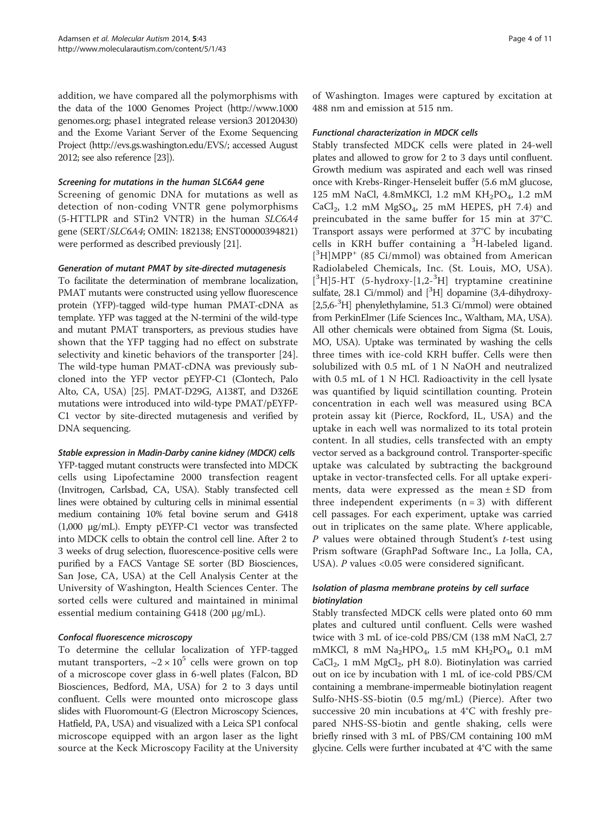addition, we have compared all the polymorphisms with the data of the 1000 Genomes Project ([http://www.1000](http://www.1000genomes.org) [genomes.org](http://www.1000genomes.org); phase1 integrated release version3 20120430) and the Exome Variant Server of the Exome Sequencing Project [\(http://evs.gs.washington.edu/EVS/;](http://evs.gs.washington.edu/EVS/) accessed August 2012; see also reference [[23](#page-10-0)]).

#### Screening for mutations in the human SLC6A4 gene

Screening of genomic DNA for mutations as well as detection of non-coding VNTR gene polymorphisms (5-HTTLPR and STin2 VNTR) in the human SLC6A4 gene (SERT/SLC6A4; OMIN: 182138; ENST00000394821) were performed as described previously [[21](#page-10-0)].

## Generation of mutant PMAT by site-directed mutagenesis

To facilitate the determination of membrane localization, PMAT mutants were constructed using yellow fluorescence protein (YFP)-tagged wild-type human PMAT-cDNA as template. YFP was tagged at the N-termini of the wild-type and mutant PMAT transporters, as previous studies have shown that the YFP tagging had no effect on substrate selectivity and kinetic behaviors of the transporter [\[24](#page-10-0)]. The wild-type human PMAT-cDNA was previously subcloned into the YFP vector pEYFP-C1 (Clontech, Palo Alto, CA, USA) [[25](#page-10-0)]. PMAT-D29G, A138T, and D326E mutations were introduced into wild-type PMAT/pEYFP-C1 vector by site-directed mutagenesis and verified by DNA sequencing.

## Stable expression in Madin-Darby canine kidney (MDCK) cells

YFP-tagged mutant constructs were transfected into MDCK cells using Lipofectamine 2000 transfection reagent (Invitrogen, Carlsbad, CA, USA). Stably transfected cell lines were obtained by culturing cells in minimal essential medium containing 10% fetal bovine serum and G418 (1,000 μg/mL). Empty pEYFP-C1 vector was transfected into MDCK cells to obtain the control cell line. After 2 to 3 weeks of drug selection, fluorescence-positive cells were purified by a FACS Vantage SE sorter (BD Biosciences, San Jose, CA, USA) at the Cell Analysis Center at the University of Washington, Health Sciences Center. The sorted cells were cultured and maintained in minimal essential medium containing G418 (200 μg/mL).

## Confocal fluorescence microscopy

To determine the cellular localization of YFP-tagged mutant transporters,  $\sim 2 \times 10^5$  cells were grown on top of a microscope cover glass in 6-well plates (Falcon, BD Biosciences, Bedford, MA, USA) for 2 to 3 days until confluent. Cells were mounted onto microscope glass slides with Fluoromount-G (Electron Microscopy Sciences, Hatfield, PA, USA) and visualized with a Leica SP1 confocal microscope equipped with an argon laser as the light source at the Keck Microscopy Facility at the University

of Washington. Images were captured by excitation at 488 nm and emission at 515 nm.

## Functional characterization in MDCK cells

Stably transfected MDCK cells were plated in 24-well plates and allowed to grow for 2 to 3 days until confluent. Growth medium was aspirated and each well was rinsed once with Krebs-Ringer-Henseleit buffer (5.6 mM glucose, 125 mM NaCl, 4.8mMKCl, 1.2 mM KH<sub>2</sub>PO<sub>4</sub>, 1.2 mM  $CaCl<sub>2</sub>$ , 1.2 mM  $MgSO<sub>4</sub>$ , 25 mM HEPES, pH 7.4) and preincubated in the same buffer for 15 min at 37°C. Transport assays were performed at 37°C by incubating cells in KRH buffer containing a <sup>3</sup>H-labeled ligand. [<sup>3</sup>H]MPP<sup>+</sup> (85 Ci/mmol) was obtained from American Radiolabeled Chemicals, Inc. (St. Louis, MO, USA). [<sup>3</sup>H]5-HT (5-hydroxy-[1,2-<sup>3</sup>H] tryptamine creatinine sulfate,  $28.1$  Ci/mmol) and  $[{}^{3}H]$  dopamine (3,4-dihydroxy-[2,5,6-3 H] phenylethylamine, 51.3 Ci/mmol) were obtained from PerkinElmer (Life Sciences Inc., Waltham, MA, USA). All other chemicals were obtained from Sigma (St. Louis, MO, USA). Uptake was terminated by washing the cells three times with ice-cold KRH buffer. Cells were then solubilized with 0.5 mL of 1 N NaOH and neutralized with 0.5 mL of 1 N HCl. Radioactivity in the cell lysate was quantified by liquid scintillation counting. Protein concentration in each well was measured using BCA protein assay kit (Pierce, Rockford, IL, USA) and the uptake in each well was normalized to its total protein content. In all studies, cells transfected with an empty vector served as a background control. Transporter-specific uptake was calculated by subtracting the background uptake in vector-transfected cells. For all uptake experiments, data were expressed as the mean  $\pm$  SD from three independent experiments  $(n = 3)$  with different cell passages. For each experiment, uptake was carried out in triplicates on the same plate. Where applicable, P values were obtained through Student's t-test using Prism software (GraphPad Software Inc., La Jolla, CA, USA). P values <0.05 were considered significant.

## Isolation of plasma membrane proteins by cell surface biotinylation

Stably transfected MDCK cells were plated onto 60 mm plates and cultured until confluent. Cells were washed twice with 3 mL of ice-cold PBS/CM (138 mM NaCl, 2.7 mMKCl, 8 mM  $Na<sub>2</sub>HPO<sub>4</sub>$ , 1.5 mM  $KH<sub>2</sub>PO<sub>4</sub>$ , 0.1 mM CaCl<sub>2</sub>, 1 mM MgCl<sub>2</sub>, pH 8.0). Biotinylation was carried out on ice by incubation with 1 mL of ice-cold PBS/CM containing a membrane-impermeable biotinylation reagent Sulfo-NHS-SS-biotin (0.5 mg/mL) (Pierce). After two successive 20 min incubations at 4°C with freshly prepared NHS-SS-biotin and gentle shaking, cells were briefly rinsed with 3 mL of PBS/CM containing 100 mM glycine. Cells were further incubated at 4°C with the same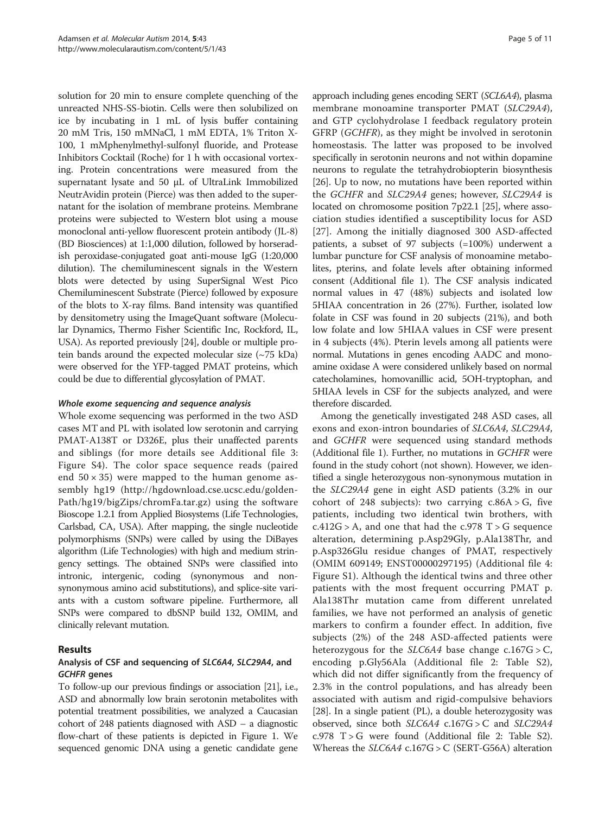solution for 20 min to ensure complete quenching of the unreacted NHS-SS-biotin. Cells were then solubilized on ice by incubating in 1 mL of lysis buffer containing 20 mM Tris, 150 mMNaCl, 1 mM EDTA, 1% Triton X-100, 1 mMphenylmethyl-sulfonyl fluoride, and Protease Inhibitors Cocktail (Roche) for 1 h with occasional vortexing. Protein concentrations were measured from the supernatant lysate and 50 μL of UltraLink Immobilized NeutrAvidin protein (Pierce) was then added to the supernatant for the isolation of membrane proteins. Membrane proteins were subjected to Western blot using a mouse monoclonal anti-yellow fluorescent protein antibody (JL-8) (BD Biosciences) at 1:1,000 dilution, followed by horseradish peroxidase-conjugated goat anti-mouse IgG (1:20,000 dilution). The chemiluminescent signals in the Western blots were detected by using SuperSignal West Pico Chemiluminescent Substrate (Pierce) followed by exposure of the blots to X-ray films. Band intensity was quantified by densitometry using the ImageQuant software (Molecular Dynamics, Thermo Fisher Scientific Inc, Rockford, IL, USA). As reported previously [\[24\]](#page-10-0), double or multiple protein bands around the expected molecular size  $(\sim 75 \text{ kDa})$ were observed for the YFP-tagged PMAT proteins, which could be due to differential glycosylation of PMAT.

#### Whole exome sequencing and sequence analysis

Whole exome sequencing was performed in the two ASD cases MT and PL with isolated low serotonin and carrying PMAT-A138T or D326E, plus their unaffected parents and siblings (for more details see Additional file [3](#page-9-0): Figure S4). The color space sequence reads (paired end  $50 \times 35$ ) were mapped to the human genome assembly hg19 ([http://hgdownload.cse.ucsc.edu/golden-](http://hgdownload.cse.ucsc.edu/goldenPath/hg19/bigZips/chromFa.tar.gz)[Path/hg19/bigZips/chromFa.tar.gz](http://hgdownload.cse.ucsc.edu/goldenPath/hg19/bigZips/chromFa.tar.gz)) using the software Bioscope 1.2.1 from Applied Biosystems (Life Technologies, Carlsbad, CA, USA). After mapping, the single nucleotide polymorphisms (SNPs) were called by using the DiBayes algorithm (Life Technologies) with high and medium stringency settings. The obtained SNPs were classified into intronic, intergenic, coding (synonymous and nonsynonymous amino acid substitutions), and splice-site variants with a custom software pipeline. Furthermore, all SNPs were compared to dbSNP build 132, OMIM, and clinically relevant mutation.

## Results

#### Analysis of CSF and sequencing of SLC6A4, SLC29A4, and GCHFR genes

To follow-up our previous findings or association [\[21\]](#page-10-0), i.e., ASD and abnormally low brain serotonin metabolites with potential treatment possibilities, we analyzed a Caucasian cohort of 248 patients diagnosed with ASD – a diagnostic flow-chart of these patients is depicted in Figure [1.](#page-2-0) We sequenced genomic DNA using a genetic candidate gene

approach including genes encoding SERT (SCL6A4), plasma membrane monoamine transporter PMAT (SLC29A4), and GTP cyclohydrolase I feedback regulatory protein GFRP (GCHFR), as they might be involved in serotonin homeostasis. The latter was proposed to be involved specifically in serotonin neurons and not within dopamine neurons to regulate the tetrahydrobiopterin biosynthesis [[26](#page-10-0)]. Up to now, no mutations have been reported within the GCHFR and SLC29A4 genes; however, SLC29A4 is located on chromosome position 7p22.1 [\[25\]](#page-10-0), where association studies identified a susceptibility locus for ASD [[27\]](#page-10-0). Among the initially diagnosed 300 ASD-affected patients, a subset of 97 subjects (=100%) underwent a lumbar puncture for CSF analysis of monoamine metabolites, pterins, and folate levels after obtaining informed consent (Additional file [1](#page-9-0)). The CSF analysis indicated normal values in 47 (48%) subjects and isolated low 5HIAA concentration in 26 (27%). Further, isolated low folate in CSF was found in 20 subjects (21%), and both low folate and low 5HIAA values in CSF were present in 4 subjects (4%). Pterin levels among all patients were normal. Mutations in genes encoding AADC and monoamine oxidase A were considered unlikely based on normal catecholamines, homovanillic acid, 5OH-tryptophan, and 5HIAA levels in CSF for the subjects analyzed, and were therefore discarded.

Among the genetically investigated 248 ASD cases, all exons and exon-intron boundaries of SLC6A4, SLC29A4, and GCHFR were sequenced using standard methods (Additional file [1](#page-9-0)). Further, no mutations in GCHFR were found in the study cohort (not shown). However, we identified a single heterozygous non-synonymous mutation in the SLC29A4 gene in eight ASD patients (3.2% in our cohort of 248 subjects): two carrying  $c.86A > G$ , five patients, including two identical twin brothers, with  $c.412G > A$ , and one that had the  $c.978$  T  $> G$  sequence alteration, determining p.Asp29Gly, p.Ala138Thr, and p.Asp326Glu residue changes of PMAT, respectively (OMIM 609149; ENST00000297195) (Additional file [4](#page-9-0): Figure S1). Although the identical twins and three other patients with the most frequent occurring PMAT p. Ala138Thr mutation came from different unrelated families, we have not performed an analysis of genetic markers to confirm a founder effect. In addition, five subjects (2%) of the 248 ASD-affected patients were heterozygous for the  $SLC6A4$  base change c.167G > C, encoding p.Gly56Ala (Additional file [2](#page-9-0): Table S2), which did not differ significantly from the frequency of 2.3% in the control populations, and has already been associated with autism and rigid-compulsive behaviors [[28](#page-10-0)]. In a single patient (PL), a double heterozygosity was observed, since both  $SLC6A4$  c.167G > C and  $SLC29A4$  $c.978$  T  $>$  G were found (Additional file [2](#page-9-0): Table S2). Whereas the  $SLC6A4$  c.167G > C (SERT-G56A) alteration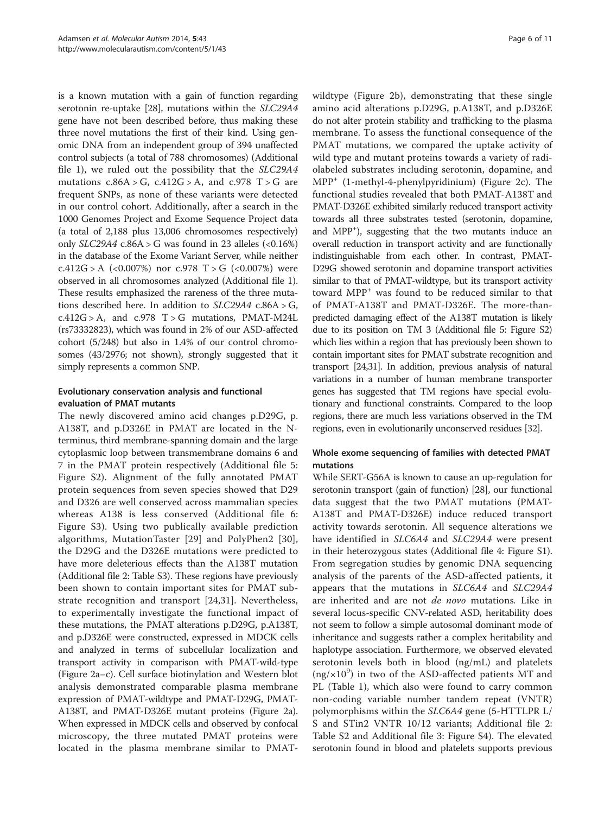is a known mutation with a gain of function regarding serotonin re-uptake [\[28\]](#page-10-0), mutations within the SLC29A4 gene have not been described before, thus making these three novel mutations the first of their kind. Using genomic DNA from an independent group of 394 unaffected control subjects (a total of 788 chromosomes) (Additional file [1\)](#page-9-0), we ruled out the possibility that the SLC29A4 mutations  $c.86A > G$ ,  $c.412G > A$ , and  $c.978$  T  $> G$  are frequent SNPs, as none of these variants were detected in our control cohort. Additionally, after a search in the 1000 Genomes Project and Exome Sequence Project data (a total of 2,188 plus 13,006 chromosomes respectively) only  $SLC29A4$  c.86A > G was found in 23 alleles  $\langle$ <0.16%) in the database of the Exome Variant Server, while neither c.412G > A  $\langle$  <0.007%) nor c.978 T > G  $\langle$  <0.007%) were observed in all chromosomes analyzed (Additional file [1](#page-9-0)). These results emphasized the rareness of the three mutations described here. In addition to SLC29A4 c.86A > G,  $c.412G > A$ , and  $c.978$  T  $> G$  mutations, PMAT-M24L (rs73332823), which was found in 2% of our ASD-affected cohort (5/248) but also in 1.4% of our control chromosomes (43/2976; not shown), strongly suggested that it simply represents a common SNP.

## Evolutionary conservation analysis and functional evaluation of PMAT mutants

The newly discovered amino acid changes p.D29G, p. A138T, and p.D326E in PMAT are located in the Nterminus, third membrane-spanning domain and the large cytoplasmic loop between transmembrane domains 6 and 7 in the PMAT protein respectively (Additional file [5](#page-9-0): Figure S2). Alignment of the fully annotated PMAT protein sequences from seven species showed that D29 and D326 are well conserved across mammalian species whereas A138 is less conserved (Additional file [6](#page-9-0): Figure S3). Using two publically available prediction algorithms, MutationTaster [\[29\]](#page-10-0) and PolyPhen2 [[30](#page-10-0)], the D29G and the D326E mutations were predicted to have more deleterious effects than the A138T mutation (Additional file [2](#page-9-0): Table S3). These regions have previously been shown to contain important sites for PMAT substrate recognition and transport [[24,31](#page-10-0)]. Nevertheless, to experimentally investigate the functional impact of these mutations, the PMAT alterations p.D29G, p.A138T, and p.D326E were constructed, expressed in MDCK cells and analyzed in terms of subcellular localization and transport activity in comparison with PMAT-wild-type (Figure [2](#page-6-0)a–c). Cell surface biotinylation and Western blot analysis demonstrated comparable plasma membrane expression of PMAT-wildtype and PMAT-D29G, PMAT-A138T, and PMAT-D326E mutant proteins (Figure [2](#page-6-0)a). When expressed in MDCK cells and observed by confocal microscopy, the three mutated PMAT proteins were located in the plasma membrane similar to PMAT-

wildtype (Figure [2b](#page-6-0)), demonstrating that these single amino acid alterations p.D29G, p.A138T, and p.D326E do not alter protein stability and trafficking to the plasma membrane. To assess the functional consequence of the PMAT mutations, we compared the uptake activity of wild type and mutant proteins towards a variety of radiolabeled substrates including serotonin, dopamine, and  $MPP<sup>+</sup>$  (1-methyl-4-phenylpyridinium) (Figure [2c](#page-6-0)). The functional studies revealed that both PMAT-A138T and PMAT-D326E exhibited similarly reduced transport activity towards all three substrates tested (serotonin, dopamine, and MPP<sup>+</sup>), suggesting that the two mutants induce an overall reduction in transport activity and are functionally indistinguishable from each other. In contrast, PMAT-D29G showed serotonin and dopamine transport activities similar to that of PMAT-wildtype, but its transport activity toward MPP<sup>+</sup> was found to be reduced similar to that of PMAT-A138T and PMAT-D326E. The more-thanpredicted damaging effect of the A138T mutation is likely due to its position on TM 3 (Additional file [5:](#page-9-0) Figure S2) which lies within a region that has previously been shown to contain important sites for PMAT substrate recognition and transport [[24,31](#page-10-0)]. In addition, previous analysis of natural variations in a number of human membrane transporter genes has suggested that TM regions have special evolutionary and functional constraints. Compared to the loop regions, there are much less variations observed in the TM regions, even in evolutionarily unconserved residues [\[32\]](#page-10-0).

## Whole exome sequencing of families with detected PMAT mutations

While SERT-G56A is known to cause an up-regulation for serotonin transport (gain of function) [\[28\]](#page-10-0), our functional data suggest that the two PMAT mutations (PMAT-A138T and PMAT-D326E) induce reduced transport activity towards serotonin. All sequence alterations we have identified in *SLC6A4* and *SLC29A4* were present in their heterozygous states (Additional file [4](#page-9-0): Figure S1). From segregation studies by genomic DNA sequencing analysis of the parents of the ASD-affected patients, it appears that the mutations in SLC6A4 and SLC29A4 are inherited and are not *de novo* mutations. Like in several locus-specific CNV-related ASD, heritability does not seem to follow a simple autosomal dominant mode of inheritance and suggests rather a complex heritability and haplotype association. Furthermore, we observed elevated serotonin levels both in blood (ng/mL) and platelets ( $\text{ng/x10}^9$ ) in two of the ASD-affected patients MT and PL (Table [1\)](#page-7-0), which also were found to carry common non-coding variable number tandem repeat (VNTR) polymorphisms within the SLC6A4 gene (5-HTTLPR L/ S and STin2 VNTR 10/12 variants; Additional file [2](#page-9-0): Table S2 and Additional file [3:](#page-9-0) Figure S4). The elevated serotonin found in blood and platelets supports previous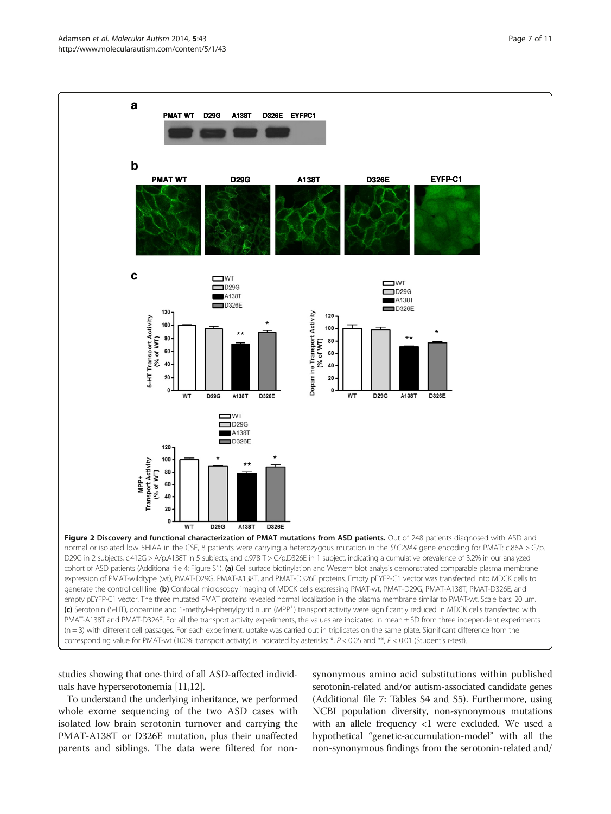#### <span id="page-6-0"></span>Adamsen et al. Molecular Autism 2014, 5:43 Page 7 of 11 http://www.molecularautism.com/content/5/1/43



studies showing that one-third of all ASD-affected individuals have hyperserotonemia [\[11,12\]](#page-9-0).

To understand the underlying inheritance, we performed whole exome sequencing of the two ASD cases with isolated low brain serotonin turnover and carrying the PMAT-A138T or D326E mutation, plus their unaffected parents and siblings. The data were filtered for non-

synonymous amino acid substitutions within published serotonin-related and/or autism-associated candidate genes (Additional file [7:](#page-9-0) Tables S4 and S5). Furthermore, using NCBI population diversity, non-synonymous mutations with an allele frequency <1 were excluded. We used a hypothetical "genetic-accumulation-model" with all the non-synonymous findings from the serotonin-related and/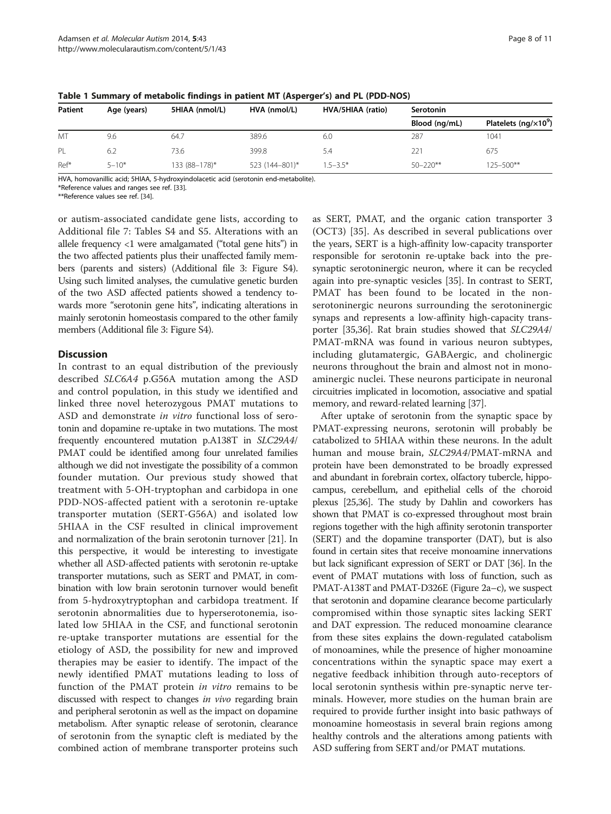| Patient | Age (years) | 5HIAA (nmol/L) | HVA (nmol/L)   | HVA/5HIAA (ratio) | Serotonin     |                                           |
|---------|-------------|----------------|----------------|-------------------|---------------|-------------------------------------------|
|         |             |                |                |                   | Blood (ng/mL) | Platelets (ng/ $\times$ 10 <sup>9</sup> ) |
| MT      | 9.6         | 64.7           | 389.6          | 6.0               | 287           | 1041                                      |
| PL      | 6.2         | 73.6           | 399.8          | 5.4               | 221           | 675                                       |
| Ref*    | $5 - 10*$   | 133 (88-178)*  | 523 (144-801)* | $1.5 - 3.5*$      | $50 - 220**$  | $125 - 500**$                             |

<span id="page-7-0"></span>Table 1 Summary of metabolic findings in patient MT (Asperger's) and PL (PDD-NOS)

HVA, homovanillic acid; 5HIAA, 5-hydroxyindolacetic acid (serotonin end-metabolite).

\*Reference values and ranges see ref. [\[33\]](#page-10-0).

\*\*Reference values see ref. [\[34](#page-10-0)].

or autism-associated candidate gene lists, according to Additional file [7](#page-9-0): Tables S4 and S5. Alterations with an allele frequency <1 were amalgamated ("total gene hits") in the two affected patients plus their unaffected family members (parents and sisters) (Additional file [3:](#page-9-0) Figure S4). Using such limited analyses, the cumulative genetic burden of the two ASD affected patients showed a tendency towards more "serotonin gene hits", indicating alterations in mainly serotonin homeostasis compared to the other family members (Additional file [3:](#page-9-0) Figure S4).

#### **Discussion**

In contrast to an equal distribution of the previously described SLC6A4 p.G56A mutation among the ASD and control population, in this study we identified and linked three novel heterozygous PMAT mutations to ASD and demonstrate in vitro functional loss of serotonin and dopamine re-uptake in two mutations. The most frequently encountered mutation p.A138T in SLC29A4/ PMAT could be identified among four unrelated families although we did not investigate the possibility of a common founder mutation. Our previous study showed that treatment with 5-OH-tryptophan and carbidopa in one PDD-NOS-affected patient with a serotonin re-uptake transporter mutation (SERT-G56A) and isolated low 5HIAA in the CSF resulted in clinical improvement and normalization of the brain serotonin turnover [\[21\]](#page-10-0). In this perspective, it would be interesting to investigate whether all ASD-affected patients with serotonin re-uptake transporter mutations, such as SERT and PMAT, in combination with low brain serotonin turnover would benefit from 5-hydroxytryptophan and carbidopa treatment. If serotonin abnormalities due to hyperserotonemia, isolated low 5HIAA in the CSF, and functional serotonin re-uptake transporter mutations are essential for the etiology of ASD, the possibility for new and improved therapies may be easier to identify. The impact of the newly identified PMAT mutations leading to loss of function of the PMAT protein in vitro remains to be discussed with respect to changes in vivo regarding brain and peripheral serotonin as well as the impact on dopamine metabolism. After synaptic release of serotonin, clearance of serotonin from the synaptic cleft is mediated by the combined action of membrane transporter proteins such

as SERT, PMAT, and the organic cation transporter 3 (OCT3) [[35\]](#page-10-0). As described in several publications over the years, SERT is a high-affinity low-capacity transporter responsible for serotonin re-uptake back into the presynaptic serotoninergic neuron, where it can be recycled again into pre-synaptic vesicles [\[35\]](#page-10-0). In contrast to SERT, PMAT has been found to be located in the nonserotoninergic neurons surrounding the serotoninergic synaps and represents a low-affinity high-capacity transporter [\[35,36](#page-10-0)]. Rat brain studies showed that SLC29A4/ PMAT-mRNA was found in various neuron subtypes, including glutamatergic, GABAergic, and cholinergic neurons throughout the brain and almost not in monoaminergic nuclei. These neurons participate in neuronal circuitries implicated in locomotion, associative and spatial memory, and reward-related learning [\[37](#page-10-0)].

After uptake of serotonin from the synaptic space by PMAT-expressing neurons, serotonin will probably be catabolized to 5HIAA within these neurons. In the adult human and mouse brain, SLC29A4/PMAT-mRNA and protein have been demonstrated to be broadly expressed and abundant in forebrain cortex, olfactory tubercle, hippocampus, cerebellum, and epithelial cells of the choroid plexus [[25,36\]](#page-10-0). The study by Dahlin and coworkers has shown that PMAT is co-expressed throughout most brain regions together with the high affinity serotonin transporter (SERT) and the dopamine transporter (DAT), but is also found in certain sites that receive monoamine innervations but lack significant expression of SERT or DAT [[36](#page-10-0)]. In the event of PMAT mutations with loss of function, such as PMAT-A138T and PMAT-D326E (Figure [2](#page-6-0)a–c), we suspect that serotonin and dopamine clearance become particularly compromised within those synaptic sites lacking SERT and DAT expression. The reduced monoamine clearance from these sites explains the down-regulated catabolism of monoamines, while the presence of higher monoamine concentrations within the synaptic space may exert a negative feedback inhibition through auto-receptors of local serotonin synthesis within pre-synaptic nerve terminals. However, more studies on the human brain are required to provide further insight into basic pathways of monoamine homeostasis in several brain regions among healthy controls and the alterations among patients with ASD suffering from SERT and/or PMAT mutations.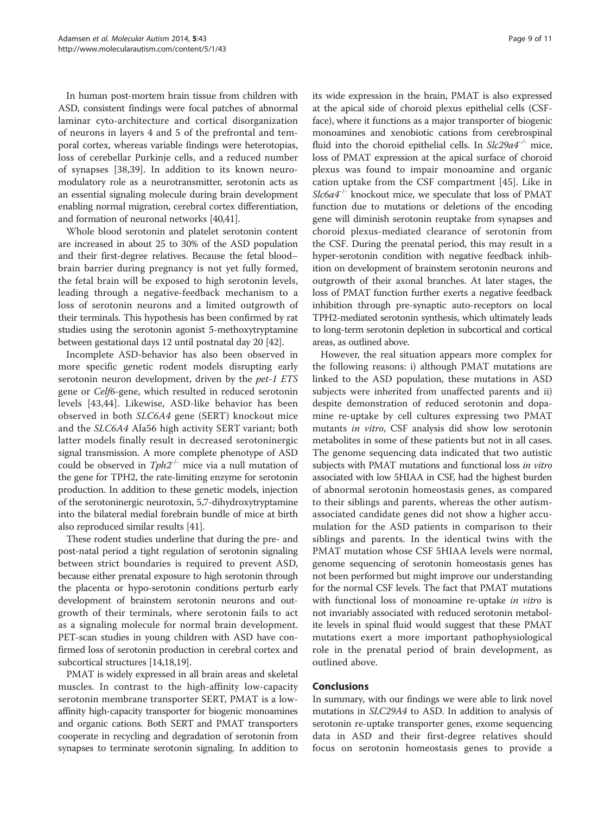In human post-mortem brain tissue from children with ASD, consistent findings were focal patches of abnormal laminar cyto-architecture and cortical disorganization of neurons in layers 4 and 5 of the prefrontal and temporal cortex, whereas variable findings were heterotopias, loss of cerebellar Purkinje cells, and a reduced number of synapses [\[38](#page-10-0),[39\]](#page-10-0). In addition to its known neuromodulatory role as a neurotransmitter, serotonin acts as an essential signaling molecule during brain development enabling normal migration, cerebral cortex differentiation, and formation of neuronal networks [[40,41\]](#page-10-0).

Whole blood serotonin and platelet serotonin content are increased in about 25 to 30% of the ASD population and their first-degree relatives. Because the fetal blood– brain barrier during pregnancy is not yet fully formed, the fetal brain will be exposed to high serotonin levels, leading through a negative-feedback mechanism to a loss of serotonin neurons and a limited outgrowth of their terminals. This hypothesis has been confirmed by rat studies using the serotonin agonist 5-methoxytryptamine between gestational days 12 until postnatal day 20 [\[42\]](#page-10-0).

Incomplete ASD-behavior has also been observed in more specific genetic rodent models disrupting early serotonin neuron development, driven by the *pet-1 ETS* gene or Celf6-gene, which resulted in reduced serotonin levels [[43,44](#page-10-0)]. Likewise, ASD-like behavior has been observed in both SLC6A4 gene (SERT) knockout mice and the SLC6A4 Ala56 high activity SERT variant; both latter models finally result in decreased serotoninergic signal transmission. A more complete phenotype of ASD could be observed in  $Tph2^{-/-}$  mice via a null mutation of the gene for TPH2, the rate-limiting enzyme for serotonin production. In addition to these genetic models, injection of the serotoninergic neurotoxin, 5,7-dihydroxytryptamine into the bilateral medial forebrain bundle of mice at birth also reproduced similar results [[41](#page-10-0)].

These rodent studies underline that during the pre- and post-natal period a tight regulation of serotonin signaling between strict boundaries is required to prevent ASD, because either prenatal exposure to high serotonin through the placenta or hypo-serotonin conditions perturb early development of brainstem serotonin neurons and outgrowth of their terminals, where serotonin fails to act as a signaling molecule for normal brain development. PET-scan studies in young children with ASD have confirmed loss of serotonin production in cerebral cortex and subcortical structures [\[14,18,](#page-9-0)[19](#page-10-0)].

PMAT is widely expressed in all brain areas and skeletal muscles. In contrast to the high-affinity low-capacity serotonin membrane transporter SERT, PMAT is a lowaffinity high-capacity transporter for biogenic monoamines and organic cations. Both SERT and PMAT transporters cooperate in recycling and degradation of serotonin from synapses to terminate serotonin signaling. In addition to its wide expression in the brain, PMAT is also expressed at the apical side of choroid plexus epithelial cells (CSFface), where it functions as a major transporter of biogenic monoamines and xenobiotic cations from cerebrospinal fluid into the choroid epithelial cells. In  $SL29a4^{-/-}$  mice, loss of PMAT expression at the apical surface of choroid plexus was found to impair monoamine and organic cation uptake from the CSF compartment [[45\]](#page-10-0). Like in  $Slc6a4^{-/-}$  knockout mice, we speculate that loss of PMAT function due to mutations or deletions of the encoding gene will diminish serotonin reuptake from synapses and choroid plexus-mediated clearance of serotonin from the CSF. During the prenatal period, this may result in a hyper-serotonin condition with negative feedback inhibition on development of brainstem serotonin neurons and outgrowth of their axonal branches. At later stages, the loss of PMAT function further exerts a negative feedback inhibition through pre-synaptic auto-receptors on local TPH2-mediated serotonin synthesis, which ultimately leads to long-term serotonin depletion in subcortical and cortical areas, as outlined above.

However, the real situation appears more complex for the following reasons: i) although PMAT mutations are linked to the ASD population, these mutations in ASD subjects were inherited from unaffected parents and ii) despite demonstration of reduced serotonin and dopamine re-uptake by cell cultures expressing two PMAT mutants in vitro, CSF analysis did show low serotonin metabolites in some of these patients but not in all cases. The genome sequencing data indicated that two autistic subjects with PMAT mutations and functional loss in vitro associated with low 5HIAA in CSF, had the highest burden of abnormal serotonin homeostasis genes, as compared to their siblings and parents, whereas the other autismassociated candidate genes did not show a higher accumulation for the ASD patients in comparison to their siblings and parents. In the identical twins with the PMAT mutation whose CSF 5HIAA levels were normal, genome sequencing of serotonin homeostasis genes has not been performed but might improve our understanding for the normal CSF levels. The fact that PMAT mutations with functional loss of monoamine re-uptake in vitro is not invariably associated with reduced serotonin metabolite levels in spinal fluid would suggest that these PMAT mutations exert a more important pathophysiological role in the prenatal period of brain development, as outlined above.

## Conclusions

In summary, with our findings we were able to link novel mutations in SLC29A4 to ASD. In addition to analysis of serotonin re-uptake transporter genes, exome sequencing data in ASD and their first-degree relatives should focus on serotonin homeostasis genes to provide a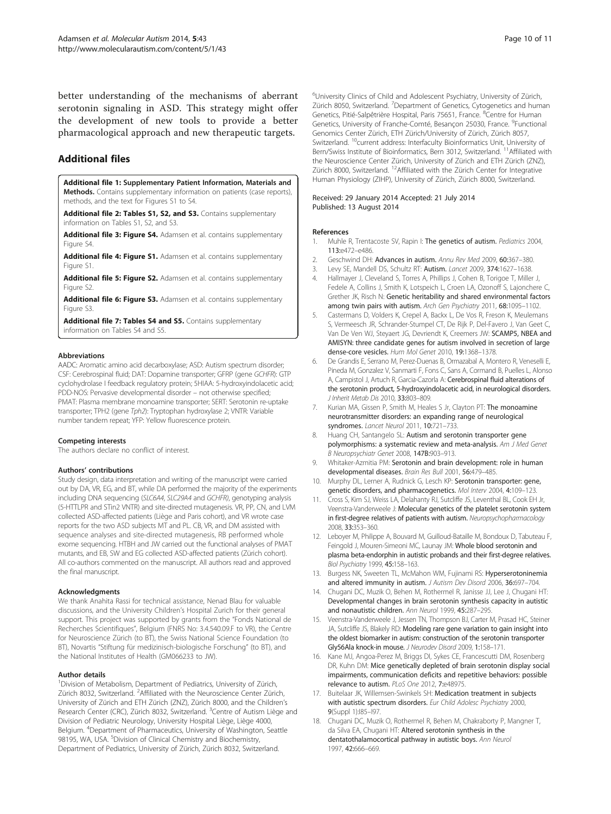<span id="page-9-0"></span>better understanding of the mechanisms of aberrant serotonin signaling in ASD. This strategy might offer the development of new tools to provide a better pharmacological approach and new therapeutic targets.

## Additional files

[Additional file 1:](http://www.biomedcentral.com/content/supplementary/2040-2392-5-43-S1.doc) Supplementary Patient Information, Materials and Methods. Contains supplementary information on patients (case reports), methods, and the text for Figures S1 to S4.

[Additional file 2: Tables S1, S2, and S3.](http://www.biomedcentral.com/content/supplementary/2040-2392-5-43-S2.doc) Contains supplementary information on Tables S1, S2, and S3.

[Additional file 3: Figure S4.](http://www.biomedcentral.com/content/supplementary/2040-2392-5-43-S3.ppt) Adamsen et al. contains supplementary Figure S4.

[Additional file 4: Figure S1.](http://www.biomedcentral.com/content/supplementary/2040-2392-5-43-S4.ppt) Adamsen et al. contains supplementary Figure S1.

[Additional file 5: Figure S2.](http://www.biomedcentral.com/content/supplementary/2040-2392-5-43-S5.ppt) Adamsen et al. contains supplementary Figure S2.

[Additional file 6: Figure S3.](http://www.biomedcentral.com/content/supplementary/2040-2392-5-43-S6.ppt) Adamsen et al. contains supplementary Figure S3.

[Additional file 7: Tables S4 and S5.](http://www.biomedcentral.com/content/supplementary/2040-2392-5-43-S7.doc) Contains supplementary information on Tables S4 and S5.

#### **Abbreviations**

AADC: Aromatic amino acid decarboxylase; ASD: Autism spectrum disorder; CSF: Cerebrospinal fluid; DAT: Dopamine transporter; GFRP (gene GCHFR): GTP cyclohydrolase I feedback regulatory protein; 5HIAA: 5-hydroxyindolacetic acid; PDD-NOS: Pervasive developmental disorder – not otherwise specified; PMAT: Plasma membrane monoamine transporter; SERT: Serotonin re-uptake transporter; TPH2 (gene Tph2): Tryptophan hydroxylase 2; VNTR: Variable number tandem repeat; YFP: Yellow fluorescence protein.

#### Competing interests

The authors declare no conflict of interest.

#### Authors' contributions

Study design, data interpretation and writing of the manuscript were carried out by DA, VR, EG, and BT, while DA performed the majority of the experiments including DNA sequencing (SLC6A4, SLC29A4 and GCHFR), genotyping analysis (5-HTTLPR and STin2 VNTR) and site-directed mutagenesis. VR, PP, CN, and LVM collected ASD-affected patients (Liège and Paris cohort), and VR wrote case reports for the two ASD subjects MT and PL. CB, VR, and DM assisted with sequence analyses and site-directed mutagenesis, RB performed whole exome sequencing. HTBH and JW carried out the functional analyses of PMAT mutants, and EB, SW and EG collected ASD-affected patients (Zürich cohort). All co-authors commented on the manuscript. All authors read and approved the final manuscript.

#### Acknowledgments

We thank Anahita Rassi for technical assistance, Nenad Blau for valuable discussions, and the University Children's Hospital Zurich for their general support. This project was supported by grants from the "Fonds National de Recherches Scientifiques", Belgium (FNRS No: 3.4.540.09.F to VR), the Centre for Neuroscience Zürich (to BT), the Swiss National Science Foundation (to BT), Novartis "Stiftung für medizinisch-biologische Forschung" (to BT), and the National Institutes of Health (GM066233 to JW).

#### Author details

<sup>1</sup> Division of Metabolism, Department of Pediatrics, University of Zürich, Zürich 8032, Switzerland. <sup>2</sup> Affiliated with the Neuroscience Center Zürich, University of Zürich and ETH Zürich (ZNZ), Zürich 8000, and the Children's Research Center (CRC), Zürich 8032, Switzerland. <sup>3</sup>Centre of Autism Liège and Division of Pediatric Neurology, University Hospital Liège, Liège 4000, Belgium. <sup>4</sup>Department of Pharmaceutics, University of Washington, Seattle 98195, WA, USA. <sup>5</sup> Division of Clinical Chemistry and Biochemistry, Department of Pediatrics, University of Zürich, Zürich 8032, Switzerland.

<sup>6</sup>University Clinics of Child and Adolescent Psychiatry, University of Zürich Zürich 8050, Switzerland. <sup>7</sup>Department of Genetics, Cytogenetics and human Genetics, Pitié-Salpêtrière Hospital, Paris 75651, France. <sup>8</sup>Centre for Human Genetics, University of Franche-Comté, Besançon 25030, France. <sup>9</sup>Functional Genomics Center Zürich, ETH Zürich/University of Zürich, Zürich 8057, Switzerland. <sup>10</sup>current address: Interfaculty Bioinformatics Unit, University of Bern/Swiss Institute of Bioinformatics, Bern 3012, Switzerland. <sup>11</sup>Affiliated with the Neuroscience Center Zürich, University of Zürich and ETH Zürich (ZNZ), Zürich 8000, Switzerland. <sup>12</sup>Affiliated with the Zürich Center for Integrative Human Physiology (ZIHP), University of Zürich, Zürich 8000, Switzerland.

#### Received: 29 January 2014 Accepted: 21 July 2014 Published: 13 August 2014

#### References

- 1. Muhle R, Trentacoste SV, Rapin I: The genetics of autism. Pediatrics 2004, 113:e472–e486.
- 2. Geschwind DH: Advances in autism. Annu Rev Med 2009, 60:367–380.
- 3. Levy SE, Mandell DS, Schultz RT: Autism. Lancet 2009, 374:1627–1638.
- 4. Hallmayer J, Cleveland S, Torres A, Phillips J, Cohen B, Torigoe T, Miller J, Fedele A, Collins J, Smith K, Lotspeich L, Croen LA, Ozonoff S, Lajonchere C, Grether JK, Risch N: Genetic heritability and shared environmental factors among twin pairs with autism. Arch Gen Psychiatry 2011, 68:1095-1102.
- 5. Castermans D, Volders K, Crepel A, Backx L, De Vos R, Freson K, Meulemans S, Vermeesch JR, Schrander-Stumpel CT, De Rijk P, Del-Favero J, Van Geet C, Van De Ven WJ, Steyaert JG, Devriendt K, Creemers JW: SCAMP5, NBEA and AMISYN: three candidate genes for autism involved in secretion of large dense-core vesicles. Hum Mol Genet 2010, 19:1368–1378.
- De Grandis E, Serrano M, Perez-Duenas B, Ormazabal A, Montero R, Veneselli E, Pineda M, Gonzalez V, Sanmarti F, Fons C, Sans A, Cormand B, Puelles L, Alonso A, Campistol J, Artuch R, Garcia-Cazorla A: Cerebrospinal fluid alterations of the serotonin product, 5-hydroxyindolacetic acid, in neurological disorders. J Inherit Metab Dis 2010, 33:803–809.
- Kurian MA, Gissen P, Smith M, Heales S Jr, Clayton PT: The monoamine neurotransmitter disorders: an expanding range of neurological syndromes. Lancet Neurol 2011, 10:721-733.
- 8. Huang CH, Santangelo SL: Autism and serotonin transporter gene polymorphisms: a systematic review and meta-analysis. Am J Med Genet B Neuropsychiatr Genet 2008, 147B:903–913.
- 9. Whitaker-Azmitia PM: Serotonin and brain development: role in human developmental diseases. Brain Res Bull 2001, 56:479–485.
- 10. Murphy DL, Lerner A, Rudnick G, Lesch KP: Serotonin transporter: gene, genetic disorders, and pharmacogenetics. Mol Interv 2004, 4:109–123.
- 11. Cross S, Kim SJ, Weiss LA, Delahanty RJ, Sutcliffe JS, Leventhal BL, Cook EH Jr, Veenstra-Vanderweele J: Molecular genetics of the platelet serotonin system in first-degree relatives of patients with autism. Neuropsychopharmacology 2008, 33:353–360.
- 12. Leboyer M, Philippe A, Bouvard M, Guilloud-Bataille M, Bondoux D, Tabuteau F, Feingold J, Mouren-Simeoni MC, Launay JM: Whole blood serotonin and plasma beta-endorphin in autistic probands and their first-degree relatives. Biol Psychiatry 1999, 45:158–163.
- 13. Burgess NK, Sweeten TL, McMahon WM, Fujinami RS: Hyperserotoninemia and altered immunity in autism. J Autism Dev Disord 2006, 36:697-704.
- 14. Chugani DC, Muzik O, Behen M, Rothermel R, Janisse JJ, Lee J, Chugani HT: Developmental changes in brain serotonin synthesis capacity in autistic and nonautistic children. Ann Neurol 1999, 45:287–295.
- 15. Veenstra-Vanderweele J, Jessen TN, Thompson BJ, Carter M, Prasad HC, Steiner JA, Sutcliffe JS, Blakely RD: Modeling rare gene variation to gain insight into the oldest biomarker in autism: construction of the serotonin transporter Gly56Ala knock-in mouse. J Neurodev Disord 2009, 1:158–171.
- 16. Kane MJ, Angoa-Perez M, Briggs DI, Sykes CE, Francescutti DM, Rosenberg DR, Kuhn DM: Mice genetically depleted of brain serotonin display social impairments, communication deficits and repetitive behaviors: possible relevance to autism. PLoS One 2012, 7:e48975.
- 17. Buitelaar JK, Willemsen-Swinkels SH: Medication treatment in subjects with autistic spectrum disorders. Eur Child Adolesc Psychiatry 2000, 9(Suppl 1):I85–I97.
- 18. Chugani DC, Muzik O, Rothermel R, Behen M, Chakraborty P, Mangner T, da Silva EA, Chugani HT: Altered serotonin synthesis in the dentatothalamocortical pathway in autistic boys. Ann Neurol 1997, 42:666–669.